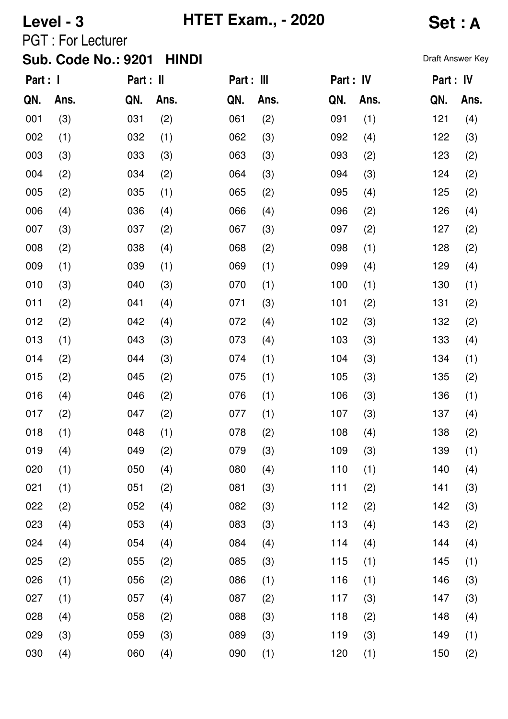028 (4)

058 (2)

059 (3)

060 (4)

029 (3)

030 (4)

**Level - 3 HTET Exam., - 2020 Set : A**

PGT : For Lecturer

|          | <b>Sub. Code No.: 9201</b> |           | <b>HINDI</b> |            |      |           |      | Draft Answer Key |      |
|----------|----------------------------|-----------|--------------|------------|------|-----------|------|------------------|------|
| Part : I |                            | Part : II |              | Part : III |      | Part : IV |      | Part : IV        |      |
| QN.      | Ans.                       | QN.       | Ans.         | QN.        | Ans. | QN.       | Ans. | QN.              | Ans. |
| 001      | (3)                        | 031       | (2)          | 061        | (2)  | 091       | (1)  | 121              | (4)  |
| 002      | (1)                        | 032       | (1)          | 062        | (3)  | 092       | (4)  | 122              | (3)  |
| 003      | (3)                        | 033       | (3)          | 063        | (3)  | 093       | (2)  | 123              | (2)  |
| 004      | (2)                        | 034       | (2)          | 064        | (3)  | 094       | (3)  | 124              | (2)  |
| 005      | (2)                        | 035       | (1)          | 065        | (2)  | 095       | (4)  | 125              | (2)  |
| 006      | (4)                        | 036       | (4)          | 066        | (4)  | 096       | (2)  | 126              | (4)  |
| 007      | (3)                        | 037       | (2)          | 067        | (3)  | 097       | (2)  | 127              | (2)  |
| 008      | (2)                        | 038       | (4)          | 068        | (2)  | 098       | (1)  | 128              | (2)  |
| 009      | (1)                        | 039       | (1)          | 069        | (1)  | 099       | (4)  | 129              | (4)  |
| 010      | (3)                        | 040       | (3)          | 070        | (1)  | 100       | (1)  | 130              | (1)  |
| 011      | (2)                        | 041       | (4)          | 071        | (3)  | 101       | (2)  | 131              | (2)  |
| 012      | (2)                        | 042       | (4)          | 072        | (4)  | 102       | (3)  | 132              | (2)  |
| 013      | (1)                        | 043       | (3)          | 073        | (4)  | 103       | (3)  | 133              | (4)  |
| 014      | (2)                        | 044       | (3)          | 074        | (1)  | 104       | (3)  | 134              | (1)  |
| 015      | (2)                        | 045       | (2)          | 075        | (1)  | 105       | (3)  | 135              | (2)  |
| 016      | (4)                        | 046       | (2)          | 076        | (1)  | 106       | (3)  | 136              | (1)  |
| 017      | (2)                        | 047       | (2)          | 077        | (1)  | 107       | (3)  | 137              | (4)  |
| 018      | (1)                        | 048       | (1)          | 078        | (2)  | 108       | (4)  | 138              | (2)  |
| 019      | (4)                        | 049       | (2)          | 079        | (3)  | 109       | (3)  | 139              | (1)  |
| 020      | (1)                        | 050       | (4)          | 080        | (4)  | 110       | (1)  | 140              | (4)  |
| 021      | (1)                        | 051       | (2)          | 081        | (3)  | 111       | (2)  | 141              | (3)  |
| 022      | (2)                        | 052       | (4)          | 082        | (3)  | 112       | (2)  | 142              | (3)  |
| 023      | (4)                        | 053       | (4)          | 083        | (3)  | 113       | (4)  | 143              | (2)  |
| 024      | (4)                        | 054       | (4)          | 084        | (4)  | 114       | (4)  | 144              | (4)  |
| 025      | (2)                        | 055       | (2)          | 085        | (3)  | 115       | (1)  | 145              | (1)  |
| 026      | (1)                        | 056       | (2)          | 086        | (1)  | 116       | (1)  | 146              | (3)  |
| 027      | (1)                        | 057       | (4)          | 087        | (2)  | 117       | (3)  | 147              | (3)  |

088 (3)

118 (2)

148 (4)

149 (1)

150 (2)

119 (3)

120 (1)

089 (3)

090 (1)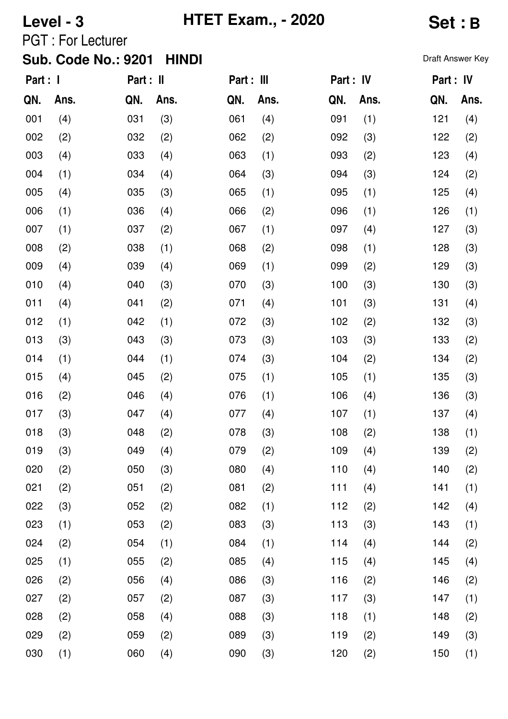# **Level - 3 HTET Exam., - 2020 Set : B**

PGT : For Lecturer

### Sub. Code No.: 9201 HINDI **Sub. Code No.: 9201 HINDI**

| Part : I |      | Part : II |      | Part : III |      | Part : IV |      | Part : IV |      |
|----------|------|-----------|------|------------|------|-----------|------|-----------|------|
| QN.      | Ans. | QN.       | Ans. | QN.        | Ans. | QN.       | Ans. | QN.       | Ans. |
| 001      | (4)  | 031       | (3)  | 061        | (4)  | 091       | (1)  | 121       | (4)  |
| 002      | (2)  | 032       | (2)  | 062        | (2)  | 092       | (3)  | 122       | (2)  |
| 003      | (4)  | 033       | (4)  | 063        | (1)  | 093       | (2)  | 123       | (4)  |
| 004      | (1)  | 034       | (4)  | 064        | (3)  | 094       | (3)  | 124       | (2)  |
| 005      | (4)  | 035       | (3)  | 065        | (1)  | 095       | (1)  | 125       | (4)  |
| 006      | (1)  | 036       | (4)  | 066        | (2)  | 096       | (1)  | 126       | (1)  |
| 007      | (1)  | 037       | (2)  | 067        | (1)  | 097       | (4)  | 127       | (3)  |
| 008      | (2)  | 038       | (1)  | 068        | (2)  | 098       | (1)  | 128       | (3)  |
| 009      | (4)  | 039       | (4)  | 069        | (1)  | 099       | (2)  | 129       | (3)  |
| 010      | (4)  | 040       | (3)  | 070        | (3)  | 100       | (3)  | 130       | (3)  |
| 011      | (4)  | 041       | (2)  | 071        | (4)  | 101       | (3)  | 131       | (4)  |
| 012      | (1)  | 042       | (1)  | 072        | (3)  | 102       | (2)  | 132       | (3)  |
| 013      | (3)  | 043       | (3)  | 073        | (3)  | 103       | (3)  | 133       | (2)  |
| 014      | (1)  | 044       | (1)  | 074        | (3)  | 104       | (2)  | 134       | (2)  |
| 015      | (4)  | 045       | (2)  | 075        | (1)  | 105       | (1)  | 135       | (3)  |
| 016      | (2)  | 046       | (4)  | 076        | (1)  | 106       | (4)  | 136       | (3)  |
| 017      | (3)  | 047       | (4)  | 077        | (4)  | 107       | (1)  | 137       | (4)  |
| 018      | (3)  | 048       | (2)  | 078        | (3)  | 108       | (2)  | 138       | (1)  |
| 019      | (3)  | 049       | (4)  | 079        | (2)  | 109       | (4)  | 139       | (2)  |
| 020      | (2)  | 050       | (3)  | 080        | (4)  | 110       | (4)  | 140       | (2)  |
| 021      | (2)  | 051       | (2)  | 081        | (2)  | 111       | (4)  | 141       | (1)  |
| 022      | (3)  | 052       | (2)  | 082        | (1)  | 112       | (2)  | 142       | (4)  |
| 023      | (1)  | 053       | (2)  | 083        | (3)  | 113       | (3)  | 143       | (1)  |
| 024      | (2)  | 054       | (1)  | 084        | (1)  | 114       | (4)  | 144       | (2)  |
| 025      | (1)  | 055       | (2)  | 085        | (4)  | 115       | (4)  | 145       | (4)  |
| 026      | (2)  | 056       | (4)  | 086        | (3)  | 116       | (2)  | 146       | (2)  |
| 027      | (2)  | 057       | (2)  | 087        | (3)  | 117       | (3)  | 147       | (1)  |
| 028      | (2)  | 058       | (4)  | 088        | (3)  | 118       | (1)  | 148       | (2)  |
| 029      | (2)  | 059       | (2)  | 089        | (3)  | 119       | (2)  | 149       | (3)  |
| 030      | (1)  | 060       | (4)  | 090        | (3)  | 120       | (2)  | 150       | (1)  |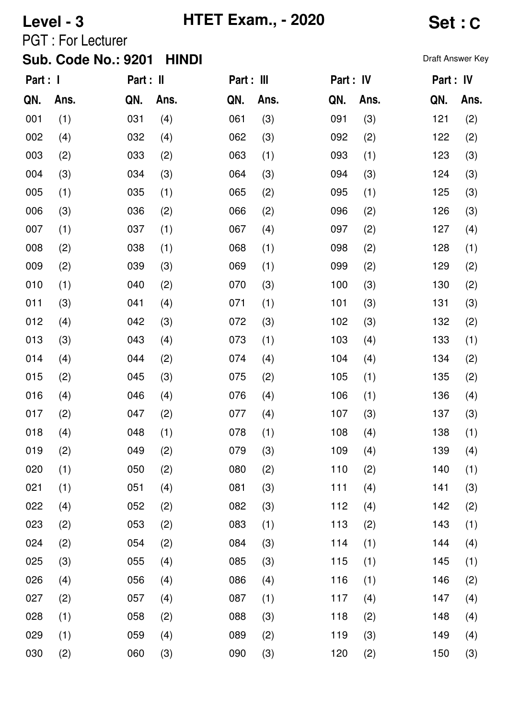**Level - 3 HTET Exam., - 2020 Set : C**

PGT : For Lecturer

## Sub. Code No.: 9201 HINDI **Sub. Code No.: 9201 HINDI**

| Part : I |      | Part : II |      | Part : III |      | Part : IV |      | Part : IV |      |
|----------|------|-----------|------|------------|------|-----------|------|-----------|------|
| QN.      | Ans. | QN.       | Ans. | QN.        | Ans. | QN.       | Ans. | QN.       | Ans. |
| 001      | (1)  | 031       | (4)  | 061        | (3)  | 091       | (3)  | 121       | (2)  |
| 002      | (4)  | 032       | (4)  | 062        | (3)  | 092       | (2)  | 122       | (2)  |
| 003      | (2)  | 033       | (2)  | 063        | (1)  | 093       | (1)  | 123       | (3)  |
| 004      | (3)  | 034       | (3)  | 064        | (3)  | 094       | (3)  | 124       | (3)  |
| 005      | (1)  | 035       | (1)  | 065        | (2)  | 095       | (1)  | 125       | (3)  |
| 006      | (3)  | 036       | (2)  | 066        | (2)  | 096       | (2)  | 126       | (3)  |
| 007      | (1)  | 037       | (1)  | 067        | (4)  | 097       | (2)  | 127       | (4)  |
| 008      | (2)  | 038       | (1)  | 068        | (1)  | 098       | (2)  | 128       | (1)  |
| 009      | (2)  | 039       | (3)  | 069        | (1)  | 099       | (2)  | 129       | (2)  |
| 010      | (1)  | 040       | (2)  | 070        | (3)  | 100       | (3)  | 130       | (2)  |
| 011      | (3)  | 041       | (4)  | 071        | (1)  | 101       | (3)  | 131       | (3)  |
| 012      | (4)  | 042       | (3)  | 072        | (3)  | 102       | (3)  | 132       | (2)  |
| 013      | (3)  | 043       | (4)  | 073        | (1)  | 103       | (4)  | 133       | (1)  |
| 014      | (4)  | 044       | (2)  | 074        | (4)  | 104       | (4)  | 134       | (2)  |
| 015      | (2)  | 045       | (3)  | 075        | (2)  | 105       | (1)  | 135       | (2)  |
| 016      | (4)  | 046       | (4)  | 076        | (4)  | 106       | (1)  | 136       | (4)  |
| 017      | (2)  | 047       | (2)  | 077        | (4)  | 107       | (3)  | 137       | (3)  |
| 018      | (4)  | 048       | (1)  | 078        | (1)  | 108       | (4)  | 138       | (1)  |
| 019      | (2)  | 049       | (2)  | 079        | (3)  | 109       | (4)  | 139       | (4)  |
| 020      | (1)  | 050       | (2)  | 080        | (2)  | 110       | (2)  | 140       | (1)  |
| 021      | (1)  | 051       | (4)  | 081        | (3)  | 111       | (4)  | 141       | (3)  |
| 022      | (4)  | 052       | (2)  | 082        | (3)  | 112       | (4)  | 142       | (2)  |
| 023      | (2)  | 053       | (2)  | 083        | (1)  | 113       | (2)  | 143       | (1)  |
| 024      | (2)  | 054       | (2)  | 084        | (3)  | 114       | (1)  | 144       | (4)  |
| 025      | (3)  | 055       | (4)  | 085        | (3)  | 115       | (1)  | 145       | (1)  |
| 026      | (4)  | 056       | (4)  | 086        | (4)  | 116       | (1)  | 146       | (2)  |
| 027      | (2)  | 057       | (4)  | 087        | (1)  | 117       | (4)  | 147       | (4)  |
| 028      | (1)  | 058       | (2)  | 088        | (3)  | 118       | (2)  | 148       | (4)  |
| 029      | (1)  | 059       | (4)  | 089        | (2)  | 119       | (3)  | 149       | (4)  |
| 030      | (2)  | 060       | (3)  | 090        | (3)  | 120       | (2)  | 150       | (3)  |